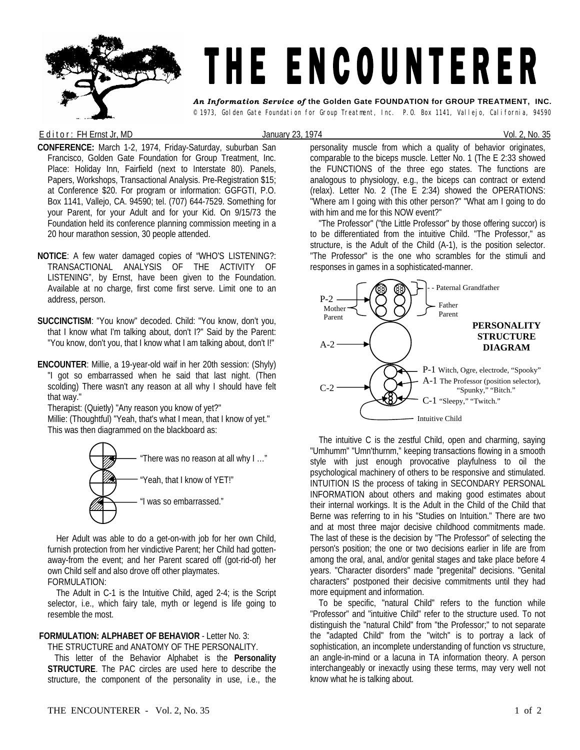

## E d it or : FH Ernst Jr, MD  $J$ anuary 23, 1974 Vol. 2, No. 35

**CONFERENCE:** March 1-2, 1974, Friday-Saturday, suburban San Francisco, Golden Gate Foundation for Group Treatment, Inc. Place: Holiday Inn, Fairfield (next to Interstate 80). Panels, Papers, Workshops, Transactional Analysis. Pre-Registration \$15; at Conference \$20. For program or information: GGFGTI, P.O. Box 1141, Vallejo, CA. 94590; tel. (707) 644-7529. Something for your Parent, for your Adult and for your Kid. On 9/15/73 the Foundation held its conference planning commission meeting in a 20 hour marathon session, 30 people attended.

- **NOTICE**: A few water damaged copies of "WHO'S LISTENING?: TRANSACTIONAL ANALYSIS OF THE ACTIVITY OF LISTENING", by Ernst, have been given to the Foundation. Available at no charge, first come first serve. Limit one to an address, person.
- **SUCCINCTISM**: "You know" decoded. Child: "You know, don't you, that I know what I'm talking about, don't I?" Said by the Parent: "You know, don't you, that I know what I am talking about, don't I!"
- **ENCOUNTER**: Millie, a 19-year-old waif in her 20th session: (Shyly) "I got so embarrassed when he said that last night. (Then scolding) There wasn't any reason at all why I should have felt that way."

Therapist: (Quietly) "Any reason you know of yet?"

Millie: (Thoughtful) "Yeah, that's what I mean, that I know of yet." This was then diagrammed on the blackboard as:



 Her Adult was able to do a get-on-with job for her own Child, furnish protection from her vindictive Parent; her Child had gottenaway-from the event; and her Parent scared off (got-rid-of) her own Child self and also drove off other playmates.

## FORMULATION:

 The Adult in C-1 is the Intuitive Child, aged 2-4; is the Script selector, i.e., which fairy tale, myth or legend is life going to resemble the most.

## **FORMULATION: ALPHABET OF BEHAVIOR** - Letter No. 3:

THE STRUCTURE and ANATOMY OF THE PERSONALITY.

This letter of the Behavior Alphabet is the **Personality STRUCTURE**. The PAC circles are used here to describe the structure, the component of the personality in use, i.e., the

personality muscle from which a quality of behavior originates, comparable to the biceps muscle. Letter No. 1 (The E 2:33 showed the FUNCTIONS of the three ego states. The functions are analogous to physiology, e.g., the biceps can contract or extend (relax). Letter No. 2 (The E 2:34) showed the OPERATIONS: "Where am I going with this other person?" "What am I going to do with him and me for this NOW event?"

 "The Professor" ("the Little Professor" by those offering succor) is to be differentiated from the intuitive Child. "The Professor," as structure, is the Adult of the Child (A-1), is the position selector. "The Professor" is the one who scrambles for the stimuli and responses in games in a sophisticated-manner.



 The intuitive C is the zestful Child, open and charming, saying "Umhumm" "Umn'thurnm," keeping transactions flowing in a smooth style with just enough provocative playfulness to oil the psychological machinery of others to be responsive and stimulated. INTUITION IS the process of taking in SECONDARY PERSONAL INFORMATION about others and making good estimates about their internal workings. It is the Adult in the Child of the Child that Berne was referring to in his "Studies on Intuition." There are two and at most three major decisive childhood commitments made. The last of these is the decision by "The Professor" of selecting the person's position; the one or two decisions earlier in life are from among the oral, anal, and/or genital stages and take place before 4 years. "Character disorders" made "pregenital" decisions. "Genital characters" postponed their decisive commitments until they had more equipment and information.

 To be specific, "natural Child" refers to the function while "Professor" and "intuitive Child" refer to the structure used. To not distinguish the "natural Child" from "the Professor;" to not separate the "adapted Child" from the "witch" is to portray a lack of sophistication, an incomplete understanding of function vs structure, an angle-in-mind or a lacuna in TA information theory. A person interchangeably or inexactly using these terms, may very well not know what he is talking about.